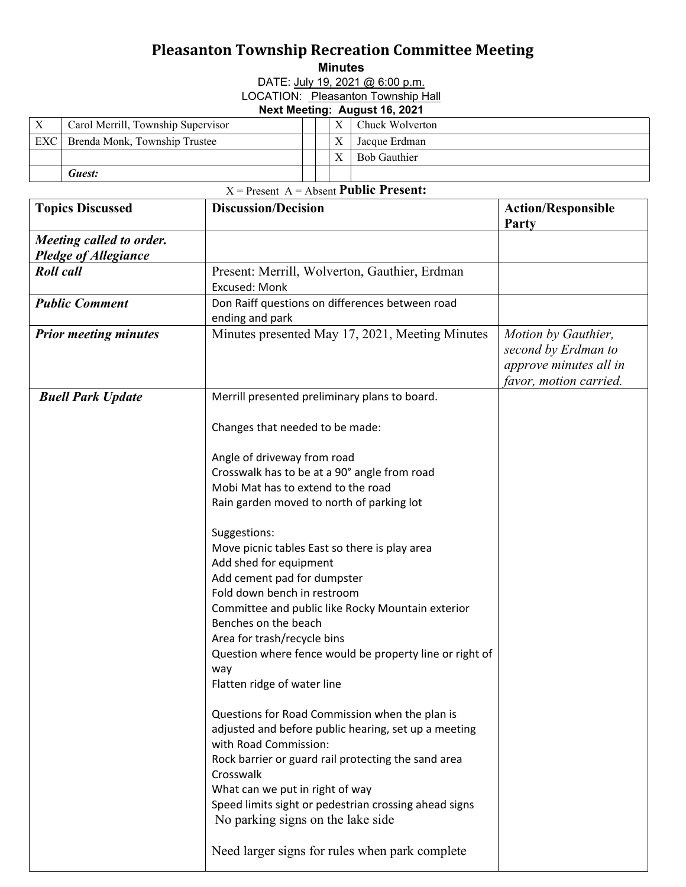## **Pleasanton Township Recreation Committee Meeting**

**Minutes** 

DATE: July 19, 2021 @ 6:00 p.m.

LOCATION: Pleasanton Township Hall

## **Next Meeting: August 16, 2021**

| $\boldsymbol{\mathrm{X}}$ | Carol Merrill, Township Supervisor |  |  |              | Chuck Wolverton     |  |  |
|---------------------------|------------------------------------|--|--|--------------|---------------------|--|--|
| EXC                       | Brenda Monk, Township Trustee      |  |  | $\mathbf{v}$ | Jacque Erdman       |  |  |
|                           |                                    |  |  |              | <b>Bob Gauthier</b> |  |  |
|                           | Guest:                             |  |  |              |                     |  |  |
|                           | _ _ _ _ _                          |  |  |              |                     |  |  |

## X = Present A = Absent **Public Present:**

| <b>Topics Discussed</b>                                 | <b>Discussion/Decision</b>                                                                                                                                                                                                                                                                                                            | <b>Action/Responsible</b><br>Party |
|---------------------------------------------------------|---------------------------------------------------------------------------------------------------------------------------------------------------------------------------------------------------------------------------------------------------------------------------------------------------------------------------------------|------------------------------------|
| Meeting called to order.<br><b>Pledge of Allegiance</b> |                                                                                                                                                                                                                                                                                                                                       |                                    |
| <b>Roll</b> call                                        | Present: Merrill, Wolverton, Gauthier, Erdman<br>Excused: Monk                                                                                                                                                                                                                                                                        |                                    |
| <b>Public Comment</b>                                   | Don Raiff questions on differences between road<br>ending and park                                                                                                                                                                                                                                                                    |                                    |
| <b>Prior meeting minutes</b>                            | Minutes presented May 17, 2021, Meeting Minutes                                                                                                                                                                                                                                                                                       |                                    |
| <b>Buell Park Update</b>                                | Merrill presented preliminary plans to board.                                                                                                                                                                                                                                                                                         |                                    |
|                                                         | Changes that needed to be made:                                                                                                                                                                                                                                                                                                       |                                    |
|                                                         | Angle of driveway from road<br>Crosswalk has to be at a 90° angle from road<br>Mobi Mat has to extend to the road<br>Rain garden moved to north of parking lot                                                                                                                                                                        |                                    |
|                                                         | Suggestions:<br>Move picnic tables East so there is play area<br>Add shed for equipment<br>Add cement pad for dumpster<br>Fold down bench in restroom<br>Committee and public like Rocky Mountain exterior<br>Benches on the beach<br>Area for trash/recycle bins                                                                     |                                    |
|                                                         | Question where fence would be property line or right of<br>way<br>Flatten ridge of water line                                                                                                                                                                                                                                         |                                    |
|                                                         | Questions for Road Commission when the plan is<br>adjusted and before public hearing, set up a meeting<br>with Road Commission:<br>Rock barrier or guard rail protecting the sand area<br>Crosswalk<br>What can we put in right of way<br>Speed limits sight or pedestrian crossing ahead signs<br>No parking signs on the lake side. |                                    |
|                                                         | Need larger signs for rules when park complete                                                                                                                                                                                                                                                                                        |                                    |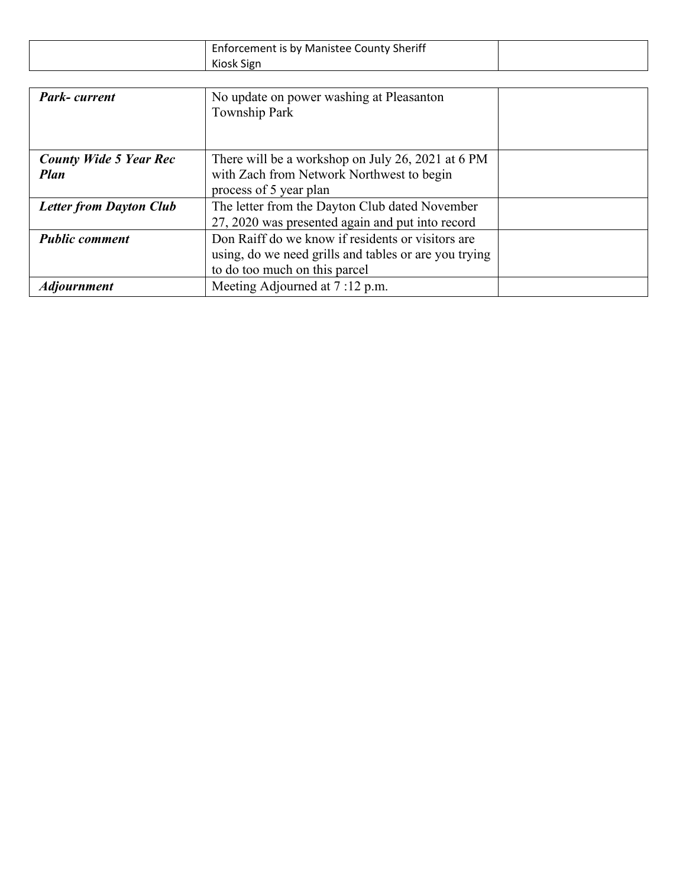| Enforcement is by Manistee County Sheriff |  |
|-------------------------------------------|--|
| Kiosk Sign                                |  |

| <b>Park-current</b>                          | No update on power washing at Pleasanton<br>Township Park                                                                                   |  |
|----------------------------------------------|---------------------------------------------------------------------------------------------------------------------------------------------|--|
| <b>County Wide 5 Year Rec</b><br><b>Plan</b> | There will be a workshop on July 26, 2021 at 6 PM<br>with Zach from Network Northwest to begin<br>process of 5 year plan                    |  |
| <b>Letter from Dayton Club</b>               | The letter from the Dayton Club dated November<br>27, 2020 was presented again and put into record                                          |  |
| <b>Public comment</b>                        | Don Raiff do we know if residents or visitors are<br>using, do we need grills and tables or are you trying<br>to do too much on this parcel |  |
| <b>Adjournment</b>                           | Meeting Adjourned at 7:12 p.m.                                                                                                              |  |